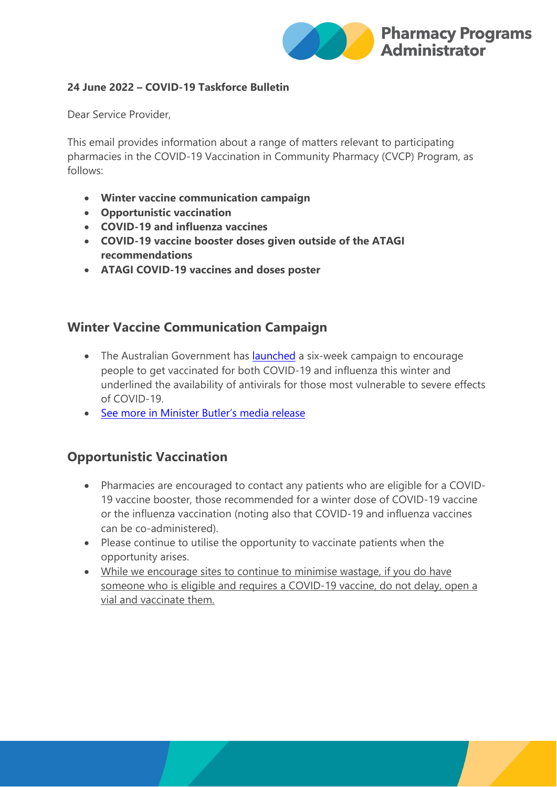

### **24 June 2022 – COVID-19 Taskforce Bulletin**

Dear Service Provider,

This email provides information about a range of matters relevant to participating pharmacies in the COVID-19 Vaccination in Community Pharmacy (CVCP) Program, as follows:

- **Winter vaccine communication campaign**
- **Opportunistic vaccination**
- **COVID-19 and influenza vaccines**
- **COVID-19 vaccine booster doses given outside of the ATAGI recommendations**
- **ATAGI COVID-19 vaccines and doses poster**

## **Winter Vaccine Communication Campaign**

- The Australian Government has [launched](https://protect-au.mimecast.com/s/UjHoCZY1M0IoJ6jtzXuyq?domain=health.gov.au) a six-week campaign to encourage people to get vaccinated for both COVID-19 and influenza this winter and underlined the availability of antivirals for those most vulnerable to severe effects of COVID-19.
- [See more in Minister Butler's media release](https://protect-au.mimecast.com/s/UjHoCZY1M0IoJ6jtzXuyq?domain=health.gov.au)

## **Opportunistic Vaccination**

- Pharmacies are encouraged to contact any patients who are eligible for a COVID-19 vaccine booster, those recommended for a winter dose of COVID-19 vaccine or the influenza vaccination (noting also that COVID-19 and influenza vaccines can be co-administered).
- Please continue to utilise the opportunity to vaccinate patients when the opportunity arises.
- While we encourage sites to continue to minimise wastage, if you do have someone who is eligible and requires a COVID-19 vaccine, do not delay, open a vial and vaccinate them.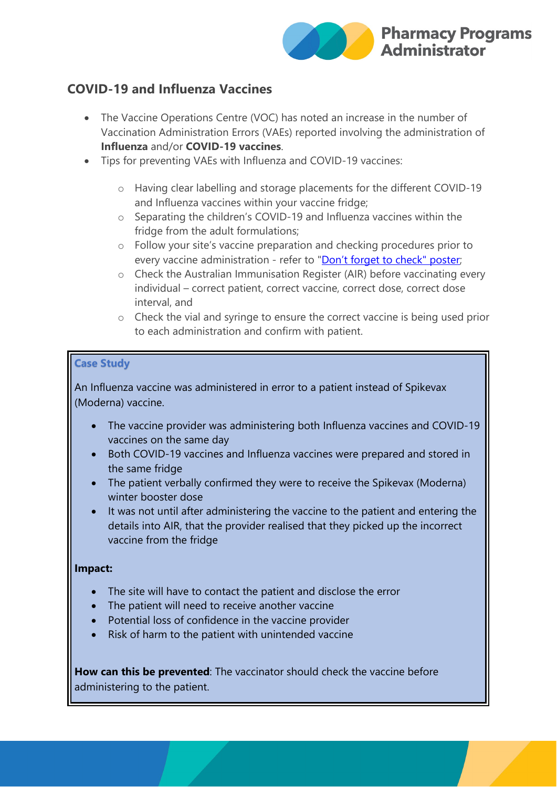

# **COVID-19 and Influenza Vaccines**

- The Vaccine Operations Centre (VOC) has noted an increase in the number of Vaccination Administration Errors (VAEs) reported involving the administration of **Influenza** and/or **COVID-19 vaccines**.
- Tips for preventing VAEs with Influenza and COVID-19 vaccines:
	- o Having clear labelling and storage placements for the different COVID-19 and Influenza vaccines within your vaccine fridge;
	- o Separating the children's COVID-19 and Influenza vaccines within the fridge from the adult formulations;
	- o Follow your site's vaccine preparation and checking procedures prior to every vaccine administration - refer to ["Don't forget to check" poster;](https://www.ppaonline.com.au/wp-content/uploads/2022/06/Dont-forget-to-check-Vaccine-Preparation-and-Vaccine-Administration.pdf)
	- o Check the Australian Immunisation Register (AIR) before vaccinating every individual – correct patient, correct vaccine, correct dose, correct dose interval, and
	- o Check the vial and syringe to ensure the correct vaccine is being used prior to each administration and confirm with patient.

### **Case Study**

An Influenza vaccine was administered in error to a patient instead of Spikevax (Moderna) vaccine.

- The vaccine provider was administering both Influenza vaccines and COVID-19 vaccines on the same day
- Both COVID-19 vaccines and Influenza vaccines were prepared and stored in the same fridge
- The patient verbally confirmed they were to receive the Spikevax (Moderna) winter booster dose
- It was not until after administering the vaccine to the patient and entering the details into AIR, that the provider realised that they picked up the incorrect vaccine from the fridge

### **Impact:**

- The site will have to contact the patient and disclose the error
- The patient will need to receive another vaccine
- Potential loss of confidence in the vaccine provider
- Risk of harm to the patient with unintended vaccine

**How can this be prevented**: The vaccinator should check the vaccine before administering to the patient.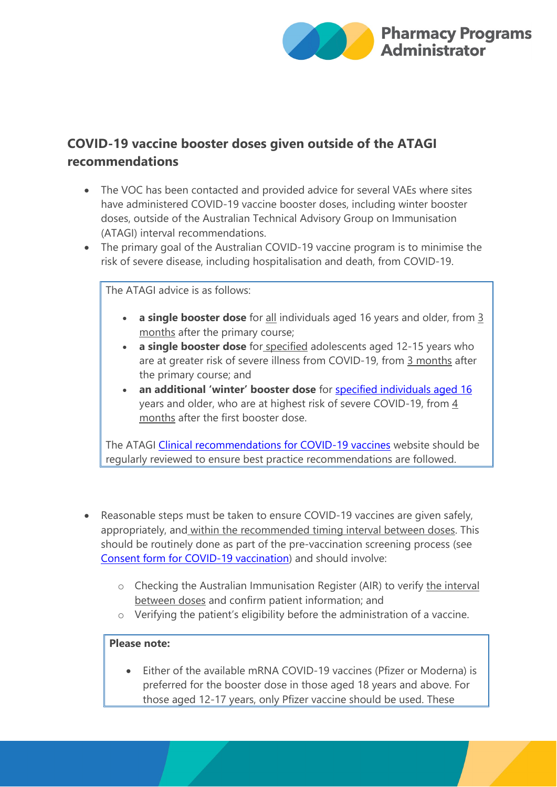

# **COVID-19 vaccine booster doses given outside of the ATAGI recommendations**

- The VOC has been contacted and provided advice for several VAEs where sites have administered COVID-19 vaccine booster doses, including winter booster doses, outside of the Australian Technical Advisory Group on Immunisation (ATAGI) interval recommendations.
- The primary goal of the Australian COVID-19 vaccine program is to minimise the risk of severe disease, including hospitalisation and death, from COVID-19.

The ATAGI advice is as follows:

- **a single booster dose** for all individuals aged 16 years and older, from 3 months after the primary course;
- **a single booster dose** for specified adolescents aged 12-15 years who are at greater risk of severe illness from COVID-19, from 3 months after the primary course; and
- **an additional 'winter' booster dose** for [specified individuals aged 16](https://www.health.gov.au/news/expanded-atagi-recommendations-on-winter-covid-19-booster-doses-for-people-at-increased-risk-of-severe-covid-19) years and older, who are at highest risk of severe COVID-19, from 4 months after the first booster dose.

The ATAGI [Clinical recommendations for COVID-19 vaccines](https://www.health.gov.au/initiatives-and-programs/covid-19-vaccines/advice-for-providers/clinical-guidance/clinical-recommendations#primary-course-vaccine-preference-recommendations) website should be regularly reviewed to ensure best practice recommendations are followed.

- Reasonable steps must be taken to ensure COVID-19 vaccines are given safely, appropriately, and within the recommended timing interval between doses. This should be routinely done as part of the pre-vaccination screening process (see [Consent form for COVID-19 vaccination\)](https://protect-au.mimecast.com/s/XnzoC3QN8wuRnk4FDfUWS?domain=health.gov.au) and should involve:
	- o Checking the Australian Immunisation Register (AIR) to verify the interval between doses and confirm patient information; and
	- o Verifying the patient's eligibility before the administration of a vaccine.

### **Please note:**

• Either of the available mRNA COVID-19 vaccines (Pfizer or Moderna) is preferred for the booster dose in those aged 18 years and above. For those aged 12-17 years, only Pfizer vaccine should be used. These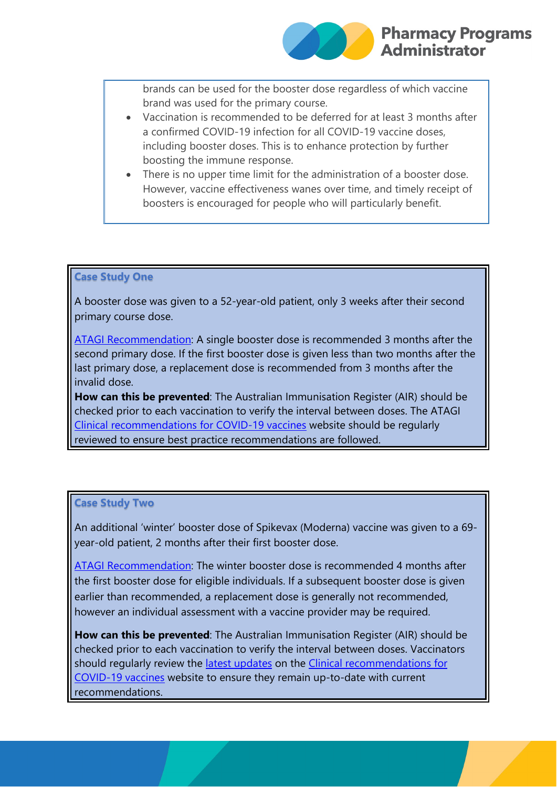brands can be used for the booster dose regardless of which vaccine brand was used for the primary course.

- Vaccination is recommended to be deferred for at least 3 months after a confirmed COVID-19 infection for all COVID-19 vaccine doses, including booster doses. This is to enhance protection by further boosting the immune response.
- There is no upper time limit for the administration of a booster dose. However, vaccine effectiveness wanes over time, and timely receipt of boosters is encouraged for people who will particularly benefit.

### **Case Study One**

A booster dose was given to a 52-year-old patient, only 3 weeks after their second primary course dose.

[ATAGI Recommendation:](https://protect-au.mimecast.com/s/cLB5C4QOZLu7XV8tVOhWt?domain=health.gov.au) A single booster dose is recommended 3 months after the second primary dose. If the first booster dose is given less than two months after the last primary dose, a replacement dose is recommended from 3 months after the invalid dose.

**How can this be prevented**: The Australian Immunisation Register (AIR) should be checked prior to each vaccination to verify the interval between doses. The ATAGI [Clinical recommendations for](https://protect-au.mimecast.com/s/4MvhC2xMZWHEMYmtBcuIf?domain=health.gov.au) COVID-19 vaccines website should be regularly reviewed to ensure best practice recommendations are followed.

### **Case Study Two**

An additional 'winter' booster dose of Spikevax (Moderna) vaccine was given to a 69 year-old patient, 2 months after their first booster dose.

[ATAGI Recommendation:](https://protect-au.mimecast.com/s/cLB5C4QOZLu7XV8tVOhWt?domain=health.gov.au) The winter booster dose is recommended 4 months after the first booster dose for eligible individuals. If a subsequent booster dose is given earlier than recommended, a replacement dose is generally not recommended, however an individual assessment with a vaccine provider may be required.

**How can this be prevented**: The Australian Immunisation Register (AIR) should be checked prior to each vaccination to verify the interval between doses. Vaccinators should regularly review the [latest updates](https://protect-au.mimecast.com/s/rcCaC5QPZLuWBJlH86PQx?domain=health.gov.au) on the [Clinical recommendations](https://protect-au.mimecast.com/s/4MvhC2xMZWHEMYmtBcuIf?domain=health.gov.au) for [COVID-19 vaccines](https://protect-au.mimecast.com/s/4MvhC2xMZWHEMYmtBcuIf?domain=health.gov.au) website to ensure they remain up-to-date with current recommendations.